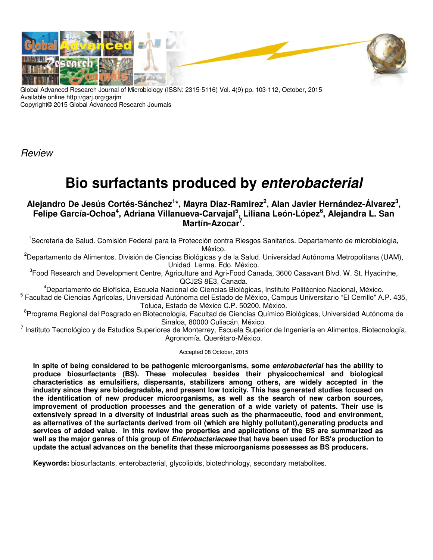

Global Advanced Research Journal of Microbiology (ISSN: 2315-5116) Vol. 4(9) pp. 103-112, October, 2015 Available online http://garj.org/garjm Copyright© 2015 Global Advanced Research Journals

**Review** 

# **Bio surfactants produced by enterobacterial**

# **Alejandro De Jesús Cortés-Sánchez<sup>1</sup> \*, Mayra Diaz-Ramirez<sup>2</sup> , Alan Javier Hernández-Álvarez<sup>3</sup> , Felipe García-Ochoa<sup>4</sup> , Adriana Villanueva-Carvajal<sup>5</sup> , Liliana León-López<sup>6</sup> , Alejandra L. San Martín-Azocar<sup>7</sup> .**

<sup>1</sup>Secretaria de Salud. Comisión Federal para la Protección contra Riesgos Sanitarios. Departamento de microbiología, México.

<sup>2</sup>Departamento de Alimentos. División de Ciencias Biológicas y de la Salud. Universidad Autónoma Metropolitana (UAM), Unidad Lerma. Edo. México.

<sup>3</sup>Food Research and Development Centre, Agriculture and Agri-Food Canada, 3600 Casavant Blvd. W. St. Hyacinthe, QCJ2S 8E3, Canada.

<sup>4</sup>Departamento de Biofísica, Escuela Nacional de Ciencias Biológicas, Instituto Politécnico Nacional, México. 5 Facultad de Ciencias Agrícolas, Universidad Autónoma del Estado de México, Campus Universitario "El Cerrillo" A.P. 435, Toluca, Estado de México C.P. 50200, México.

<sup>8</sup>Programa Regional del Posgrado en Biotecnología, Facultad de Ciencias Químico Biológicas, Universidad Autónoma de Sinaloa, 80000 Culiacán, México.

<sup>7</sup> Instituto Tecnológico y de Estudios Superiores de Monterrey, Escuela Superior de Ingeniería en Alimentos, Biotecnología, Agronomía. Querétaro-México.

Accepted 08 October, 2015

**In spite of being considered to be pathogenic microorganisms, some enterobacterial has the ability to produce biosurfactants (BS). These molecules besides their physicochemical and biological characteristics as emulsifiers, dispersants, stabilizers among others, are widely accepted in the industry since they are biodegradable, and present low toxicity. This has generated studies focused on the identification of new producer microorganisms, as well as the search of new carbon sources, improvement of production processes and the generation of a wide variety of patents. Their use is extensively spread in a diversity of industrial areas such as the pharmaceutic, food and environment, as alternatives of the surfactants derived from oil (which are highly pollutant),generating products and services of added value. In this review the properties and applications of the BS are summarized as well as the major genres of this group of Enterobacteriaceae that have been used for BS's production to update the actual advances on the benefits that these microorganisms possesses as BS producers.** 

**Keywords:** biosurfactants, enterobacterial, glycolipids, biotechnology, secondary metabolites.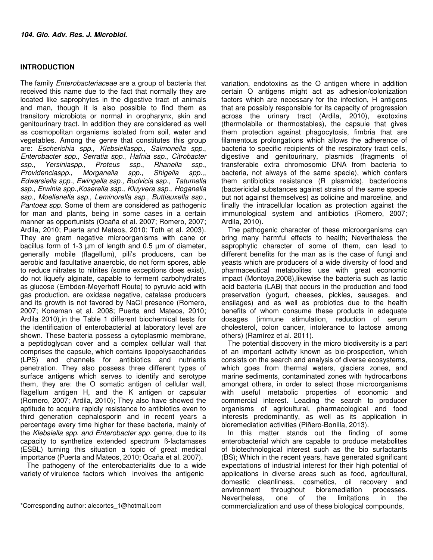### **INTRODUCTION**

The family Enterobacteriaceae are a group of bacteria that received this name due to the fact that normally they are located like saprophytes in the digestive tract of animals and man, though it is also possible to find them as transitory microbiota or normal in oropharynx, skin and genitourinary tract. In addition they are considered as well as cosmopolitan organisms isolated from soil, water and vegetables. Among the genre that constitutes this group are: Escherichia spp., Klebsiellaspp., Salmonella spp., Enterobacter spp., Serratia spp., Hafnia ssp., Citrobacter ssp., Yersiniaspp., Proteus ssp., Rhanella ssp.,<br>Providenciaspp., Morganella spp., Shigella spp.,, Morganella spp., Shigella spp.,, Edwarsiella spp., Ewingella ssp., Budvicia ssp., Tatumella ssp., Erwinia spp.,Koserella ssp., Kluyvera ssp., Hoganella ssp., Moellenella ssp., Leminorella ssp., Buttiauxella ssp., Pantoea spp. Some of them are considered as pathogenic for man and plants, being in some cases in a certain manner as opportunists (Ocaña et al. 2007; Romero, 2007; Ardila, 2010; Puerta and Mateos, 2010; Toth et al. 2003). They are gram negative microorganisms with cane or bacillus form of 1-3 µm of length and 0.5 µm of diameter, generally mobile (flagellum), pili's producers, can be aerobic and facultative anaerobic, do not form spores, able to reduce nitrates to nitrites (some exceptions does exist), do not liquefy alginate, capable to ferment carbohydrates as glucose (Embden-Meyerhoff Route) to pyruvic acid with gas production, are oxidase negative, catalase producers and its growth is not favored by NaCl presence (Romero, 2007; Koneman et al. 2008; Puerta and Mateos, 2010; Ardila 2010),in the Table 1 different biochemical tests for the identification of enterobacterial at laboratory level are shown. These bacteria possess a cytoplasmic membrane, a peptidoglycan cover and a complex cellular wall that comprises the capsule, which contains lipopolysaccharides (LPS) and channels for antibiotics and nutrients penetration. They also possess three different types of surface antigens which serves to identify and serotype them, they are: the O somatic antigen of cellular wall, flagellum antigen H, and the K antigen or capsular (Romero, 2007; Ardila, 2010); They also have showed the aptitude to acquire rapidly resistance to antibiotics even to third generation cephalosporin and in recent years a percentage every time higher for these bacteria, mainly of the Klebsiella spp. and Enterobacter spp. genre, due to its capacity to synthetize extended spectrum ß-lactamases (ESBL) turning this situation a topic of great medical importance (Puerta and Mateos, 2010; Ocaña et al. 2007).

The pathogeny of the enterobacterialits due to a wide variety of virulence factors which involves the antigenic

variation, endotoxins as the O antigen where in addition certain O antigens might act as adhesion/colonization factors which are necessary for the infection, H antigens that are possibly responsible for its capacity of progression across the urinary tract (Ardila, 2010), exotoxins (thermolabile or thermostables), the capsule that gives them protection against phagocytosis, fimbria that are filamentous prolongations which allows the adherence of bacteria to specific recipients of the respiratory tract cells, digestive and genitourinary, plasmids (fragments of transferable extra chromosomic DNA from bacteria to bacteria, not always of the same specie), which confers them antibiotics resistance (R plasmids), bacteriocins (bactericidal substances against strains of the same specie but not against themselves) as colicine and marceline, and finally the intracellular location as protection against the immunological system and antibiotics (Romero, 2007; Ardila, 2010).

The pathogenic character of these microorganisms can bring many harmful effects to health; Nevertheless the saprophytic character of some of them, can lead to different benefits for the man as is the case of fungi and yeasts which are producers of a wide diversity of food and pharmaceutical metabolites use with great economic impact (Montoya,2008),likewise the bacteria such as lactic acid bacteria (LAB) that occurs in the production and food preservation (yogurt, cheeses, pickles, sausages, and ensilages) and as well as probiotics due to the health benefits of whom consume these products in adequate dosages (immune stimulation, reduction of serum cholesterol, colon cancer, intolerance to lactose among others) (Ramírez et al. 2011).

The potential discovery in the micro biodiversity is a part of an important activity known as bio-prospection, which consists on the search and analysis of diverse ecosystems, which goes from thermal waters, glaciers zones, and marine sediments, contaminated zones with hydrocarbons amongst others, in order to select those microorganisms with useful metabolic properties of economic and commercial interest. Leading the search to producer organisms of agricultural, pharmacological and food interests predominantly, as well as its application in bioremediation activities (Piñero-Bonilla, 2013).

In this matter stands out the finding of some enterobacterial which are capable to produce metabolites of biotechnological interest such as the bio surfactants (BS); Which in the recent years, have generated significant expectations of industrial interest for their high potential of applications in diverse areas such as food, agricultural, domestic cleanliness, cosmetics, oil recovery and<br>environment throughout bioremediation processes. bioremediation Nevertheless, one of the limitations in the commercialization and use of these biological compounds,

<sup>\*</sup>Corresponding author: alecortes\_1@hotmail.com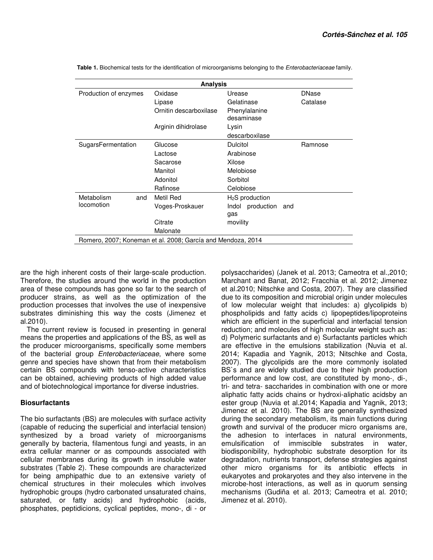| <b>Analysis</b>                                             |                        |                             |              |  |  |  |
|-------------------------------------------------------------|------------------------|-----------------------------|--------------|--|--|--|
| Production of enzymes                                       | Oxidase                | Urease                      | <b>DNase</b> |  |  |  |
|                                                             | Lipase                 | Gelatinase                  | Catalase     |  |  |  |
|                                                             | Ornitin descarboxilase | Phenylalanine<br>desaminase |              |  |  |  |
|                                                             | Arginin dihidrolase    | Lysin                       |              |  |  |  |
|                                                             |                        | descarboxilase              |              |  |  |  |
| SugarsFermentation                                          | Glucose                | <b>Dulcitol</b>             | Ramnose      |  |  |  |
|                                                             | Lactose                | Arabinose                   |              |  |  |  |
|                                                             | Sacarose               | Xilose                      |              |  |  |  |
|                                                             | Manitol                | Melobiose                   |              |  |  |  |
|                                                             | Adonitol               | Sorbitol                    |              |  |  |  |
|                                                             | Rafinose               | Celobiose                   |              |  |  |  |
| Metabolism<br>and                                           | Metil Red              | $H2S$ production            |              |  |  |  |
| locomotion                                                  | Voges-Proskauer        | production<br>Indol<br>and  |              |  |  |  |
|                                                             |                        | gas                         |              |  |  |  |
|                                                             | Citrate                | movility                    |              |  |  |  |
|                                                             | Malonate               |                             |              |  |  |  |
| Romero, 2007; Koneman et al. 2008; García and Mendoza, 2014 |                        |                             |              |  |  |  |

 **Table 1.** Biochemical tests for the identification of microorganisms belonging to the Enterobacteriaceae family.

are the high inherent costs of their large-scale production. Therefore, the studies around the world in the production area of these compounds has gone so far to the search of producer strains, as well as the optimization of the production processes that involves the use of inexpensive substrates diminishing this way the costs (Jimenez et al.2010).

The current review is focused in presenting in general means the properties and applications of the BS, as well as the producer microorganisms, specifically some members of the bacterial group Enterobacteriaceae, where some genre and species have shown that from their metabolism certain BS compounds with tenso-active characteristics can be obtained, achieving products of high added value and of biotechnological importance for diverse industries.

#### **Biosurfactants**

The bio surfactants (BS) are molecules with surface activity (capable of reducing the superficial and interfacial tension) synthesized by a broad variety of microorganisms generally by bacteria, filamentous fungi and yeasts, in an extra cellular manner or as compounds associated with cellular membranes during its growth in insoluble water substrates (Table 2). These compounds are characterized for being amphipathic due to an extensive variety of chemical structures in their molecules which involves hydrophobic groups (hydro carbonated unsaturated chains, saturated, or fatty acids) and hydrophobic (acids, phosphates, peptidicions, cyclical peptides, mono-, di - or

polysaccharides) (Janek et al. 2013; Cameotra et al.,2010; Marchant and Banat, 2012; Fracchia et al. 2012; Jimenez et al.2010; Nitschke and Costa, 2007). They are classified due to its composition and microbial origin under molecules of low molecular weight that includes: a) glycolipids b) phospholipids and fatty acids c) lipopeptides/lipoproteins which are efficient in the superficial and interfacial tension reduction; and molecules of high molecular weight such as: d) Polymeric surfactants and e) Surfactants particles which are effective in the emulsions stabilization (Nuvia et al. 2014; Kapadia and Yagnik, 2013; Nitschke and Costa, 2007). The glycolipids are the more commonly isolated BS`s and are widely studied due to their high production performance and low cost, are constituted by mono-, di-, tri- and tetra- saccharides in combination with one or more aliphatic fatty acids chains or hydroxi-aliphatic acidsby an ester group (Nuvia et al.2014; Kapadia and Yagnik, 2013; Jimenez et al. 2010). The BS are generally synthesized during the secondary metabolism, its main functions during growth and survival of the producer micro organisms are, the adhesion to interfaces in natural environments, emulsification of immiscible substrates in water, biodisponibility, hydrophobic substrate desorption for its degradation, nutrients transport, defense strategies against other micro organisms for its antibiotic effects in eukaryotes and prokaryotes and they also intervene in the microbe-host interactions, as well as in quorum sensing mechanisms (Gudiña et al. 2013; Cameotra et al. 2010; Jimenez et al. 2010).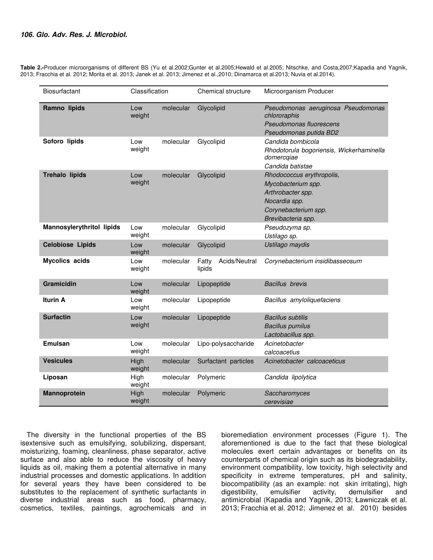Table 2.-Producer microorganisms of different BS (Yu et al.2002;Gunter et al.2005;Hewald et al.2005; Nitschke, and Costa,2007;Kapadia and Yagnik, 2013; Fracchia et al. 2012; Morita et al. 2013; Janek et al. 2013; Jimenez et al.,2010; Dinamarca et al.2013; Nuvia et al.2014).

| <b>Biosurfactant</b>             | Classification |           | Chemical structure               | Microorganism Producer                                                                                                              |
|----------------------------------|----------------|-----------|----------------------------------|-------------------------------------------------------------------------------------------------------------------------------------|
| Ramno lipids                     | Low<br>weight  | molecular | Glycolipid                       | Pseudomonas aeruginosa Pseudomonas<br>chlororaphis<br>Pseudomonas fluorescens<br>Pseudomonas putida BD2                             |
| Soforo lipids                    | Low<br>weight  | molecular | Glycolipid                       | Candida bombicola<br>Rhodotorula bogoriensis, Wickerhaminella<br>domercqiae<br>Candida batistae                                     |
| <b>Trehalo lipids</b>            | Low<br>weight  | molecular | Glycolipid                       | Rhodococcus erythropolis,<br>Mycobacterium spp.<br>Arthrobacter spp.<br>Nocardia spp.<br>Corynebacterium spp.<br>Brevibacteria spp. |
| <b>Mannosylerythritol lipids</b> | Low<br>weight  | molecular | Glycolipid                       | Pseudozyma sp.<br>Ustilago sp.                                                                                                      |
| <b>Celobiose Lipids</b>          | Low<br>weight  | molecular | Glycolipid                       | Ustilago maydis                                                                                                                     |
| <b>Mycolics acids</b>            | Low<br>weight  | molecular | Fatty<br>Acids/Neutral<br>lipids | Corynebacterium insidibasseosum                                                                                                     |
| Gramicidin                       | Low<br>weight  | molecular | Lipopeptide                      | <b>Bacillus</b> brevis                                                                                                              |
| <b>Iturin A</b>                  | Low<br>weight  | molecular | Lipopeptide                      | Bacillus amyloliquefaciens                                                                                                          |
| <b>Surfactin</b>                 | Low<br>weight  | molecular | Lipopeptide                      | <b>Bacillus subtilis</b><br><b>Bacillus pumilus</b><br>Lactobacillus spp.                                                           |
| <b>Emulsan</b>                   | Low<br>weight  | molecular | Lipo-polysaccharide              | Acinetobacter<br>calcoacetius                                                                                                       |
| <b>Vesicules</b>                 | High<br>weight | molecular | Surfactant particles             | Acinetobacter calcoaceticus                                                                                                         |
| Liposan                          | High<br>weight | molecular | Polymeric                        | Candida lipolytica                                                                                                                  |
| Mannoprotein                     | High<br>weight | molecular | Polymeric                        | Saccharomyces<br>cerevisiae                                                                                                         |

The diversity in the functional properties of the BS isextensive such as emulsifying, solubilizing, dispersant, moisturizing, foaming, cleanliness, phase separator, active surface and also able to reduce the viscosity of heavy liquids as oil, making them a potential alternative in many industrial processes and domestic applications. In addition for several years they have been considered to be substitutes to the replacement of synthetic surfactants in diverse industrial areas such as food, pharmacy, cosmetics, textiles, paintings, agrochemicals and in

bioremediation environment processes (Figure 1). The aforementioned is due to the fact that these biological molecules exert certain advantages or benefits on its counterparts of chemical origin such as its biodegradability, environment compatibility, low toxicity, high selectivity and specificity in extreme temperatures, pH and salinity, biocompatibility (as an example: not skin irritating), high digestibility, emulsifier activity, demulsifier and antimicrobial (Kapadia and Yagnik, 2013; Ławniczak et al. 2013; Fracchia et al. 2012; Jimenez et al. 2010) besides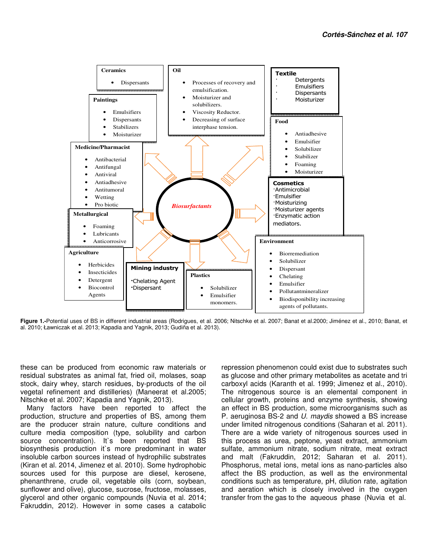

**Figure 1.-**Potential uses of BS in different industrial areas (Rodrigues, et al. 2006; Nitschke et al. 2007; Banat et al.2000; Jiménez et al., 2010; Banat, et al. 2010; Ławniczak et al. 2013; Kapadia and Yagnik, 2013; Gudiña et al. 2013).

these can be produced from economic raw materials or residual substrates as animal fat, fried oil, molases, soap stock, dairy whey, starch residues, by-products of the oil vegetal refinement and distilleries) (Maneerat et al.2005; Nitschke et al. 2007; Kapadia and Yagnik, 2013).

Many factors have been reported to affect the production, structure and properties of BS, among them are the producer strain nature, culture conditions and culture media composition (type, solubility and carbon source concentration). It's been reported that BS biosynthesis production it`s more predominant in water insoluble carbon sources instead of hydrophilic substrates (Kiran et al. 2014, Jimenez et al. 2010). Some hydrophobic sources used for this purpose are diesel, kerosene, phenanthrene, crude oil, vegetable oils (corn, soybean, sunflower and olive), glucose, sucrose, fructose, molasses, glycerol and other organic compounds (Nuvia et al. 2014; Fakruddin, 2012). However in some cases a catabolic

repression phenomenon could exist due to substrates such as glucose and other primary metabolites as acetate and tri carboxyl acids (Karanth et al. 1999; Jimenez et al., 2010). The nitrogenous source is an elemental component in cellular growth, proteins and enzyme synthesis, showing an effect in BS production, some microorganisms such as P. aeruginosa BS-2 and U. maydis showed a BS increase under limited nitrogenous conditions (Saharan et al. 2011). There are a wide variety of nitrogenous sources used in this process as urea, peptone, yeast extract, ammonium sulfate, ammonium nitrate, sodium nitrate, meat extract and malt (Fakruddin, 2012; Saharan et al. 2011). Phosphorus, metal ions, metal ions as nano-particles also affect the BS production, as well as the environmental conditions such as temperature, pH, dilution rate, agitation and aeration which is closely involved in the oxygen transfer from the gas to the aqueous phase (Nuvia et al.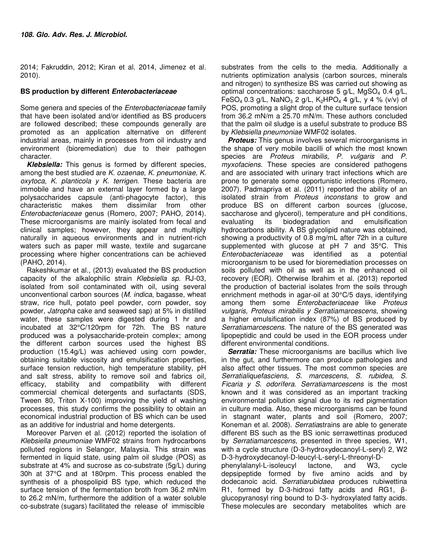2014; Fakruddin, 2012; Kiran et al. 2014, Jimenez et al. 2010).

# **BS production by different Enterobacteriaceae**

Some genera and species of the Enterobacteriaceae family that have been isolated and/or identified as BS producers are followed described; these compounds generally are promoted as an application alternative on different industrial areas, mainly in processes from oil industry and environment (bioremediation) due to their pathogen character.

**Klebsiella:** This genus is formed by different species, among the best studied are K. ozaenae, K. pneumoniae, K. oxytoca, K. planticola y K. terrigen. These bacteria are immobile and have an external layer formed by a large polysaccharides capsule (anti-phagocyte factor), this characteristic makes them dissimilar from other Enterobacteriaceae genus (Romero, 2007; PAHO, 2014). These microorganisms are mainly isolated from fecal and clinical samples; however, they appear and multiply naturally in aqueous environments and in nutrient-rich waters such as paper mill waste, textile and sugarcane processing where higher concentrations can be achieved (PAHO, 2014).

Rakeshkumar et al., (2013) evaluated the BS production capacity of the alkalophilic strain Klebsiella sp. RJ-03, isolated from soil contaminated with oil, using several unconventional carbon sources (M. indica, bagasse, wheat straw, rice hull, potato peel powder, corn powder, soy powder, Jatropha cake and seaweed sap) at 5% in distilled water, these samples were digested during 1 hr and incubated at 32°C/120rpm for 72h. The BS nature produced was a polysaccharide-protein complex; among the different carbon sources used the highest BS production (15.4g/L) was achieved using corn powder, obtaining suitable viscosity and emulsification properties, surface tension reduction, high temperature stability, pH and salt stress, ability to remove soil and fabrics oil, efficacy, stability and compatibility with different commercial chemical detergents and surfactants (SDS, Tween 80, Triton X-100) improving the yield of washing processes, this study confirms the possibility to obtain an economical industrial production of BS which can be used as an additive for industrial and home detergents.

Moreover Parven et al. (2012) reported the isolation of Klebsiella pneumoniae WMF02 strains from hydrocarbons polluted regions in Selangor, Malaysia. This strain was fermented in liquid state, using palm oil sludge (POS) as substrate at 4% and sucrose as co-substrate (5g/L) during 30h at 37°C and at 180rpm. This process enabled the synthesis of a phospolipid BS type, which reduced the surface tension of the fermentation broth from 36.2 mN/m to 26.2 mN/m, furthermore the addition of a water soluble co-substrate (sugars) facilitated the release of immiscible

substrates from the cells to the media. Additionally a nutrients optimization analysis (carbon sources, minerals and nitrogen) to synthesize BS was carried out showing as optimal concentrations: saccharose 5  $q/L$ , MgSO<sub>4</sub> 0.4  $q/L$ , FeSO<sub>4</sub> 0.3 g/L, NaNO<sub>3</sub> 2 g/L, K<sub>2</sub>HPO<sub>4</sub> 4 g/L, y 4 % (v/v) of POS, promoting a slight drop of the culture surface tension from 36.2 mN/m a 25.70 mN/m. These authors concluded that the palm oil sludge is a useful substrate to produce BS by Klebsiella pneumoniae WMF02 isolates.

**Proteus:** This genus involves several microorganisms in the shape of very mobile bacilli of which the most known species are Proteus mirabilis, P. vulgaris and P. myxofaciens. These species are considered pathogens and are associated with urinary tract infections which are prone to generate some opportunistic infections (Romero, 2007). Padmapriya et al. (2011) reported the ability of an isolated strain from Proteus inconstans to grow and produce BS on different carbon sources (glucose, saccharose and glycerol), temperature and pH conditions, evaluating its biodegradation and emulsification hydrocarbons ability. A BS glycolipid nature was obtained, showing a productivity of 0.8 mg/mL after 72h in a culture supplemented with glucose at pH 7 and 35°C. This Enterobacteriaceae was identified as a potential microorganism to be used for bioremediation processes on soils polluted with oil as well as in the enhanced oil recovery (EOR). Otherwise Ibrahim et al. (2013) reported the production of bacterial isolates from the soils through enrichment methods in agar-oil at 30°C/5 days, identifying among them some Enterobacteriaceae like Proteus vulgaris, Proteus mirabilis y Serratiamarcescens, showing a higher emulsification index (87%) of BS produced by Serratiamarcescens. The nature of the BS generated was lipopeptidic and could be used in the EOR process under different environmental conditions.

**Serratia:** These microorganisms are bacillus which live in the gut, and furthermore can produce pathologies and also affect other tissues. The most common species are Serratialiquefasciens, S. marcescens, S. rubidea, S. Ficaria  $y$  S. odorífera. Serratiamarcescens is the most known and it was considered as an important tracking environmental pollution signal due to its red pigmentation in culture media. Also, these microorganisms can be found in stagnant water, plants and soil (Romero, 2007; Koneman et al. 2008). Serratiastrains are able to generate different BS such as the BS ionic serrawettinas produced by Serratiamarcescens, presented in three species, W1, with a cycle structure (D-3-hydroxydecanoyl-L-seryl) 2, W2 D-3-hydroxydecanoyl-D-leucyl-L-seryl-L-threonyl-D-<br>phenylalanyl-L-isoleucyl lactone, and W3, phenylalanyl-L-isoleucyl lactone, and W3, cycle

depsipeptide formed by five amino acids and by dodecanoic acid. Serratiarubidaea produces rubiwettina R1, formed by D-3-hidroxi fatty acids and RG1, βglucopyranosyl ring bound to D-3- hydroxylated fatty acids. These molecules are secondary metabolites which are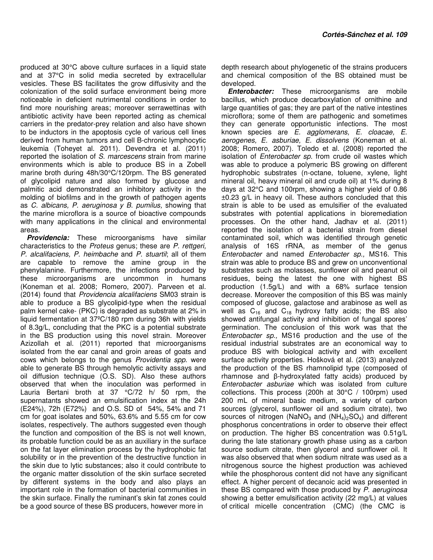produced at 30°C above culture surfaces in a liquid state and at 37°C in solid media secreted by extracellular vesicles. These BS facilitates the grow diffusivity and the colonization of the solid surface environment being more noticeable in deficient nutrimental conditions in order to find more nourishing areas; moreover serrawettinas with antibiotic activity have been reported acting as chemical carriers in the predator-prey relation and also have shown to be inductors in the apoptosis cycle of various cell lines derived from human tumors and cell B-chronic lymphocytic leukemia (Toheyet al. 2011). Devendra et al. (2011) reported the isolation of S. marcescens strain from marine environments which is able to produce BS in a Zobell marine broth during 48h/30°C/120rpm. The BS generated of glycolipid nature and also formed by glucose and palmitic acid demonstrated an inhibitory activity in the molding of biofilms and in the growth of pathogen agents as C. albicans, P. aeruginosa y B. pumilus, showing that the marine microflora is a source of bioactive compounds with many applications in the clinical and environmental areas.

**Providencia:** These microorganisms have similar characteristics to the Proteus genus; these are P. rettgeri, P. alcalifaciens, P. heimbache and P. stuartil; all of them are capable to remove the amine group in the phenylalanine. Furthermore, the infections produced by these microorganisms are uncommon in humans (Koneman et al. 2008; Romero, 2007). Parveen et al. (2014) found that Providencia alcalifaciens SM03 strain is able to produce a BS glycolipid-type when the residual palm kernel cake- (PKC) is degraded as substrate at 2% in liquid fermentation at 37ºC/180 rpm during 36h with yields of 8.3g/L, concluding that the PKC is a potential substrate in the BS production using this novel strain. Moreover Azizollah et al. (2011) reported that microorganisms isolated from the ear canal and groin areas of goats and cows which belongs to the genus Providentia spp. were able to generate BS through hemolytic activity assays and oil diffusion technique (O.S. SD). Also these authors observed that when the inoculation was performed in Lauria Bertani broth at 37 °C/72 h/ 50 rpm, the supernatants showed an emulsification index at the 24h (E24%), 72h (E72%) and O.S. SD of 54%, 54% and 71 cm for goat isolates and 50%, 63.6% and 5.55 cm for cow isolates, respectively. The authors suggested even though the function and composition of the BS is not well known, its probable function could be as an auxiliary in the surface on the fat layer elimination process by the hydrophobic fat solubility or in the prevention of the destructive function in the skin due to lytic substances; also it could contribute to the organic matter dissolution of the skin surface secreted by different systems in the body and also plays an important role in the formation of bacterial communities in the skin surface. Finally the ruminant's skin fat zones could be a good source of these BS producers, however more in

depth research about phylogenetic of the strains producers and chemical composition of the BS obtained must be developed.

**Enterobacter:** These microorganisms are mobile bacillus, which produce decarboxylation of ornithine and large quantities of gas; they are part of the native intestines microflora; some of them are pathogenic and sometimes they can generate opportunistic infections. The most known species are E. agglomerans, E. cloacae, E. aerogenes, E. asburiae, E. dissolvens (Koneman et al. 2008; Romero, 2007). Toledo et al. (2008) reported the isolation of *Enterobacter sp.* from crude oil wastes which was able to produce a polymeric BS growing on different hydrophobic substrates (n-octane, toluene, xylene, light mineral oil, heavy mineral oil and crude oil) at 1% during 8 days at 32°C and 100rpm, showing a higher yield of 0.86 ±0.23 g/L in heavy oil. These authors concluded that this strain is able to be used as emulsifier of the evaluated substrates with potential applications in bioremediation processes. On the other hand, Jadhav et al. (2011) reported the isolation of a bacterial strain from diesel contaminated soil, which was identified through genetic analysis of 16S rRNA, as member of the genus Enterobacter and named Enterobacter sp., MS16. This strain was able to produce BS and grew on unconventional substrates such as molasses, sunflower oil and peanut oil residues, being the latest the one with highest BS production (1.5g/L) and with a 68% surface tension decrease. Moreover the composition of this BS was mainly composed of glucose, galactose and arabinose as well as well as  $C_{16}$  and  $C_{18}$  hydroxy fatty acids; the BS also showed antifungal activity and inhibition of fungal spores' germination. The conclusion of this work was that the Enterobacter sp., MS16 production and the use of the residual industrial substrates are an economical way to produce BS with biological activity and with excellent surface activity properties. Hošková et al. (2013) analyzed the production of the BS rhamnolipid type (composed of rhamnose and β-hydroxylated fatty acids) produced by Enterobacter asburiae which was isolated from culture collections. This process (200h at 30°C / 100rpm) used 200 mL of mineral basic medium, a variety of carbon sources (glycerol, sunflower oil and sodium citrate), two sources of nitrogen (NaNO<sub>3</sub> and  $(NH<sub>4</sub>)<sub>2</sub>SO<sub>4</sub>$ ) and different phosphorus concentrations in order to observe their effect on production. The higher BS concentration was 0.51g/L during the late stationary growth phase using as a carbon source sodium citrate, then glycerol and sunflower oil. It was also observed that when sodium nitrate was used as a nitrogenous source the highest production was achieved while the phosphorous content did not have any significant effect. A higher percent of decanoic acid was presented in these BS compared with those produced by P. aeruginosa showing a better emulsification activity (22 mg/L) at values of critical micelle concentration (CMC) (the CMC is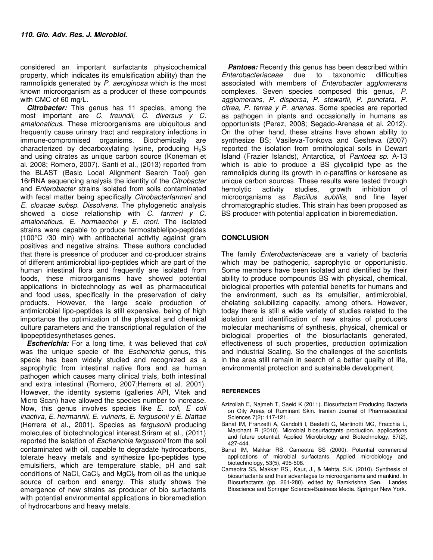considered an important surfactants physicochemical property, which indicates its emulsification ability) than the ramnolipids generated by P. aeruginosa which is the most known microorganism as a producer of these compounds with CMC of 60 mg/L.

**Citrobacter:** This genus has 11 species, among the most important are C. freundii, C. diversus y C. amalonaticus. These microorganisms are ubiquitous and frequently cause urinary tract and respiratory infections in immune-compromised organisms. Biochemically are characterized by decarboxylating lysine, producing  $H_2S$ and using citrates as unique carbon source (Koneman et al. 2008; Romero, 2007). Santi et al., (2013) reported from the BLAST (Basic Local Alignment Search Tool) gen 16rRNA sequencing analysis the identity of the *Citrobacter* and Enterobacter strains isolated from soils contaminated with fecal matter being specifically Citrobacterfarmeri and E. cloacae subsp. Dissolvens. The phylogenetic analysis showed a close relationship with C. farmeri y C. amalonaticus, E. hormaechei  $y$  E. mori. The isolated strains were capable to produce termostablelipo-peptides (100°C /30 min) with antibacterial activity against gram positives and negative strains. These authors concluded that there is presence of producer and co-producer strains of different antimicrobial lipo-peptides which are part of the human intestinal flora and frequently are isolated from foods, these microorganisms have showed potential applications in biotechnology as well as pharmaceutical and food uses, specifically in the preservation of dairy products. However, the large scale production of antimicrobial lipo-peptides is still expensive, being of high importance the optimization of the physical and chemical culture parameters and the transcriptional regulation of the lipopeptidesynthetases genes.

**Escherichia:** For a long time, it was believed that coli was the unique specie of the *Escherichia* genus, this specie has been widely studied and recognized as a saprophytic from intestinal native flora and as human pathogen which causes many clinical trials, both intestinal and extra intestinal (Romero, 2007;Herrera et al. 2001). However, the identity systems (galleries API, Vitek and Micro Scan) have allowed the species number to increase. Now, this genus involves species like E. coli, E coli inactiva, E. hermannii, E. vulneris, E. fergusonii y E. blattae (Herrera et al., 2001). Species as fergusonii producing molecules of biotechnological interest.Sriram et al., (2011) reported the isolation of Escherichia fergusonii from the soil contaminated with oil, capable to degradate hydrocarbons, tolerate heavy metals and synthesize lipo-peptides type emulsifiers, which are temperature stable, pH and salt conditions of NaCl,  $CaCl<sub>2</sub>$  and  $MgCl<sub>2</sub>$  from oil as the unique source of carbon and energy. This study shows the emergence of new strains as producer of bio surfactants with potential environmental applications in bioremediation of hydrocarbons and heavy metals.

**Pantoea:** Recently this genus has been described within<br>
nterobacteriaceae due to taxonomic difficulties Enterobacteriaceae due to taxonomic difficulties associated with members of Enterobacter agglomerans complexes. Seven species composed this genus, P. agglomerans, P. dispersa, P. stewartii, P. punctata, P. citrea, P. terrea y P. ananas. Some species are reported as pathogen in plants and occasionally in humans as opportunists (Perez, 2008; Segado-Arenasa et al. 2012). On the other hand, these strains have shown ability to synthesize BS; Vasileva-Tonkova and Gesheva (2007) reported the isolation from ornithological soils in Dewart Island (Frazier Islands), Antarctica, of Pantoea sp. A-13 which is able to produce a BS glycolipid type as the ramnolipids during its growth in  $n$ -paraffins or kerosene as unique carbon sources. These results were tested through hemolytic activity studies, growth inhibition of microorganisms as *Bacillus subtilis*, and fine layer chromatographic studies. This strain has been proposed as BS producer with potential application in bioremediation.

## **CONCLUSION**

The family *Enterobacteriaceae* are a variety of bacteria which may be pathogenic, saprophytic or opportunistic. Some members have been isolated and identified by their ability to produce compounds BS with physical, chemical, biological properties with potential benefits for humans and the environment, such as its emulsifier, antimicrobial, chelating solubilizing capacity, among others. However, today there is still a wide variety of studies related to the isolation and identification of new strains of producers molecular mechanisms of synthesis, physical, chemical or biological properties of the biosurfactants generated, effectiveness of such properties, production optimization and Industrial Scaling. So the challenges of the scientists in the area still remain in search of a better quality of life, environmental protection and sustainable development.

#### **REFERENCES**

- Azizollah E, Najmeh T, Saeid K (2011). Biosurfactant Producing Bacteria on Oily Areas of Ruminant Skin. Iranian Journal of Pharmaceutical Sciences 7(2): 117-121.
- Banat IM, Franzetti A, Gandolfi I, Bestetti G, Martinotti MG, Fracchia L, Marchant R (2010). Microbial biosurfactants production, applications and future potential. Applied Microbiology and Biotechnology, 87(2), 427-444.
- Banat IM, Makkar RS, Cameotra SS (2000). Potential commercial applications of microbial surfactants. Applied microbiology and biotechnology, 53(5), 495-508.
- Cameotra SS, Makkar RS., Kaur, J., & Mehta, S.K. (2010). Synthesis of biosurfactants and their advantages to microorganisms and mankind. In Biosurfactants (pp. 261-280). edited by Ramkrishna Sen. Landes Bioscience and Springer Science+Business Media. Springer New York.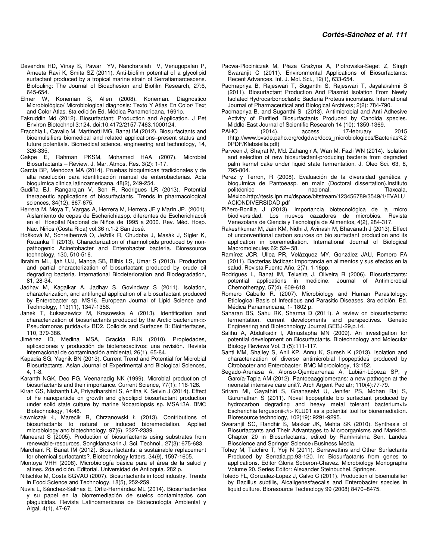- Devendra HD, Vinay S, Pawar YV, Nancharaiah V, Venugopalan P, Ameeta Ravi K, Smita SZ (2011). Anti-biofilm potential of a glycolipid surfactant produced by a tropical marine strain of Serratiamarcescens. Biofouling: The Journal of Bioadhesion and Biofilm Research, 27:6, 645-654.
- Elmer W, Koneman S, Allen (2008). Koneman. Diagnostico Microbiológico/ Microbiological diagnosis: Texto Y Atlas En Color/ Text and Color Atlas. 6ta edición Ed. Médica Panamericana, 1691p.
- Fakruddin Md (2012). Biosurfactant: Production and Application. J Pet Environ Biotechnol 3:124. doi:10.4172/2157-7463.1000124.
- Fracchia L, Cavallo M, Martinotti MG, Banat IM (2012). Biosurfactants and bioemulsifiers biomedical and related applications–present status and future potentials. Biomedical science, engineering and technology, 14, 326-335.<br>.Gakpe E
- Rahman PKSM, Mohamed HAA (2007). Microbial Biosurfactants – Review. J. Mar. Atmos. Res. 3(2): 1-17.
- García BP, Mendoza MA (2014). Pruebas bioquímicas tradicionales y de alta resolución para identificación manual de enterobacterias. Acta bioquímica clínica latinoamericana, 48(2), 249-254.
- Gudiña EJ, Rangarajan V, Sen R, Rodrigues LR (2013). Potential therapeutic applications of biosurfactants. Trends in pharmacological sciences, 34(12), 667-675.
- Herrera M, Moya T, Vargas A, Herrera M, Herrera JF y Marín JP. (2001). Aislamiento de cepas de Escherichiaspp. diferentes de Escherichiacoli en el Hospital Nacional de Niños de 1995 a 2000. Rev. Méd. Hosp. Nac. Niños (Costa Rica) vol.36 n.1-2 San José.
- Hošková M, Schreiberová O, Ježdík R, Chudoba J, Masák J, Sigler K, Řezanka T (2013). Characterization of rhamnolipids produced by nonpathogenic Acinetobacter and Enterobacter bacteria. Bioresource technology, 130, 510-516.
- Ibrahim ML, Ijah UJJ, Manga SB, Bilbis LS, Umar S (2013). Production and partial characterization of biosurfactant produced by crude oil degrading bacteria. International Biodeterioration and Biodegradation, 81, 28-34.
- Jadhav M, Kagalkar A, Jadhav S, Govindwar S (2011). Isolation, characterization, and antifungal application of a biosurfactant produced by Enterobacter sp. MS16. European Journal of Lipid Science and Technology, 113(11), 1347-1356.
- Janek T, Łukaszewicz M, Krasowska A (2013). Identification and characterization of biosurfactants produced by the Arctic bacterium<i> Pseudomonas putida</i> BD2. Colloids and Surfaces B: Biointerfaces, 110, 379-386.
- Jiménez ID, Medina MSA, Gracida RJN (2010). Propiedades, aplicaciones y producción de biotensoactivos: una revisión. Revista internacional de contaminación ambiental, 26(1), 65-84.
- Kapadia SG, Yagnik BN (2013). Current Trend and Potential for Microbial Biosurfactants. Asian Journal of Experimental and Biological Sciences, 4, 1-8.
- Karanth NGK, Deo PG, Veenanadig NK (1999). Microbial production of biosurfactants and their importance. Current Science, 77(1): 116-126.
- Kiran GS, Nishanth LA, Priyadharshini S, Anitha K, Selvin J (2014). Effect of Fe nanoparticle on growth and glycolipid biosurfactant production under solid state culture by marine Nocardiopsis sp. MSA13A. BMC Biotechnology, 14:48.
- Ławniczak Ł, Marecik R, Chrzanowski Ł (2013). Contributions of biosurfactants to natural or induced bioremediation. Applied microbiology and biotechnology, 97(6), 2327-2339.
- Maneerat S (2005). Production of biosurfactants using substrates from renewable-resources. Songklanakarin J. Sci. Technol., 27(3): 675-683.
- Marchant R, Banat IM (2012). Biosurfactants: a sustainable replacement for chemical surfactants?. Biotechnology letters, 34(9), 1597-1605.
- Montoya VHH (2008). Microbiología básica para el área de la salud y afines. 2da edición. Editorial. Universidad de Antioquia. 282 p.
- Nitschke M, Costa SGVAO (2007). Biosurfactants in food industry. Trends in Food Science and Technology, 18(5), 252-259.
- Nuvia L, Sánchez-Salinas E, Ortiz-Hernández ML (2014). Biosurfactantes y su papel en la biorremediación de suelos contaminados con plaguicidas. Revista Latinoamericana de Biotecnología Ambiental y Algal, 4(1), 47-67.
- Pacwa-Płociniczak M, Płaza Grażyna A, Piotrowska-Seget Z, Singh Swaranjit C (2011). Environmental Applications of Biosurfactants: Recent Advances. Int. J. Mol. Sci., 12(1), 633-654.
- Padmapriya B, Rajeswari T, Suganthi S, Rajeswari T, Jayalakshmi S (2011). Biosurfactant Production And Plasmid Isolation From Newly Isolated Hydrocarbonoclastic Bacteria Proteus inconstans. International Journal of Pharmaceutical and Biological Archives; 2(2): 784-790.
- Padmapriya B. and Suganthi S (2013). Antimicrobial and Anti Adhesive Activity of Purified Biosurfactants Produced by Candida species. Middle-East Journal of Scientific Research 14 (10): 1359-1369.<br>PAHO (2014). access 17-february
- 17-february 2015 (http://www.bvsde.paho.org/cdgdwq/docs\_microbiologicos/Bacterias%2 0PDF/Klebsiella.pdf)
- Parveen J, Shajrat M, Md. Zahangir A, Wan M, Fazli WN (2014). Isolation and selection of new biosurfactant-producing bacteria from degraded palm kernel cake under liquid state fermentation. J. Oleo Sci. 63, 8, 795-804.
- Perez y Terron, R (2008). Evaluación de la diversidad genética y bioquímica de Pantoeasp. en maíz (Doctoral dissertation).Instituto politécnico nacional. Tlaxcala, México.http://tesis.ipn.mx/dspace/bitstream/123456789/3549/1/EVALU ACIONDIVERSIDAD.pdf
- Piñero-Bonilla J (2013). Importancia biotecnológica de la micro biodiversidad. Los nuevos cazadores de microbios. Revista Venezolana de Ciencia y Tecnología de Alimentos, 4(2), 284-317.
- Rakeshkumar M, Jain KM, Nidhi J, Avinash M, Bhavanath J (2013). Effect of unconventional carbon sources on bio surfactant production and its application in bioremediation. International Journal of Biological Macromolecules 62: 52– 58.
- Ramírez JCR, Ulloa PR, Velázquez MY, González JAU, Romero FA (2011). Bacterias lácticas: Importancia en alimentos y sus efectos en la salud. Revista Fuente Año, 2(7). 1-16pp.
- Rodrigues L, Banat IM, Teixeira J, Oliveira R (2006). Biosurfactants: potential applications in medicine. Journal of Antimicrobial Chemotherapy, 57(4), 609-618.
- Romero Cabello R. (2007). Microbiology and Human Parasitology: Etiological Basis of Infectious and Parasitic Diseases. 3ra edición. Ed. Médica Panamericana, 1- 1802 p.
- Saharan BS, Sahu RK, Sharma D (2011). A review on biosurfactants: fermentation, current developments and perspectives. Genetic Engineering and Biotechnology Journal,GEBJ-29,p.14.
- Salihu A, Abdulkadir I, Almustapha MN (2009). An investigation for potential development on Biosurfactants. Biotechnology and Molecular Biology Reviews Vol. 3 (5):111-117.
- Santi MM, Shalley S, Anil KP, Annu K, Suresh K (2013). Isolation and characterization of diverse antimicrobial lipopeptides produced by Citrobacter and Enterobacter. BMC Microbiology, 13:152.
- Segado-Arenasa A, Alonso-Ojembarrenaa A, Lubián-Lópeza SP, y García-Tapia AM (2012). Pantoeaagglomerans: a new pathogen at the neonatal intensive care unit?. Arch Argent Pediatr; 110(4):77-79.
- Sriram MI, Gayathiri S, Gnanaselvi U, Jenifer PS, Mohan Raj S, Gurunathan S (2011). Novel lipopeptide bio surfactant produced by hydrocarbon degrading and heavy metal tolerant bacterium<i> Escherichia fergusonii</i> KLU01 as a potential tool for bioremediation. Bioresource technology, 102(19): 9291-9295.
- Swaranjit SC, Randhir S, Makkar JK, Mehta SK (2010). Synthesis of Biosurfactants and Their Advantages to Microorganisms and Mankind. Chapter 20 in Biosurfactants, edited by Ramkrishna Sen. Landes Bioscience and Springer Science+Business Media.
- Tohey M, Taichiro T, Yoji N (2011). Serrawettins and Other Surfactants Produced by Serratia.pp.93-120. In: Biosurfactants from genes to applications. Editor Gloria Soberon-Chavez. Microbiology Monographs Volume 20. Series Editor: Alexander Steinbuchel. Springer.
- Toledo FL, Gonzalez-Lopez J, Calvo C (2011). Production of bioemulsifier by Bacillus subtilis, Alcaligenesfaecalis and Enterobacter species in liquid culture. Bioresource Technology 99 (2008) 8470–8475.